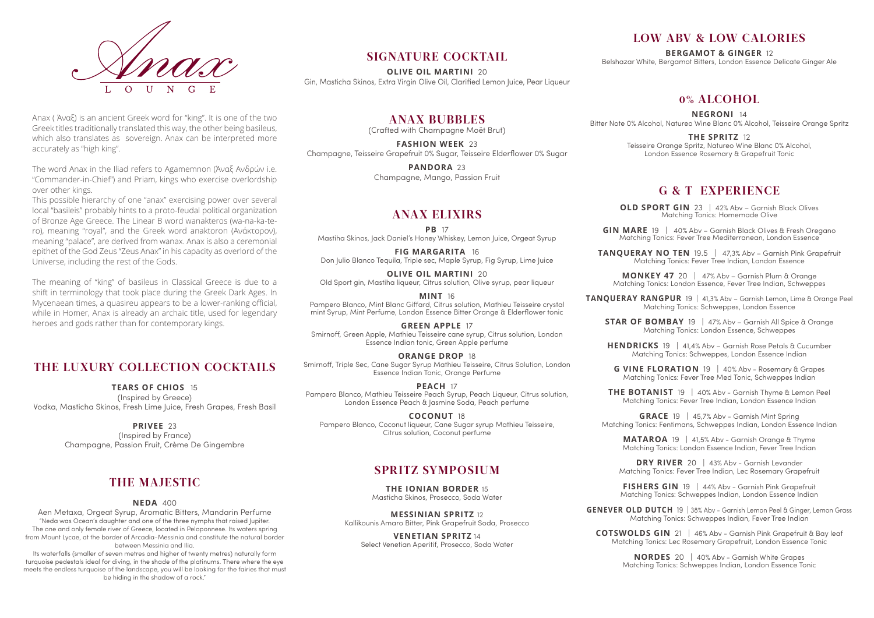### **THE LUXURY COLLECTION COCKTAILS**

**Tears of Chios** 15 (Inspired by Greece) Vodka, Masticha Skinos, Fresh Lime Juice, Fresh Grapes, Fresh Basil

#### **PRIVEE** 23

(Inspired by France) Champagne, Passion Fruit, Crème De Gingembre

### **The majestic**

**Neda** 400

Aen Metaxa, Orgeat Syrup, Aromatic Bitters, Mandarin Perfume "Neda was Ocean's daughter and one of the three nymphs that raised Jupiter. The one and only female river of Greece, located in Peloponnese. Its waters spring from Mount Lycae, at the border of Arcadia-Messinia and constitute the natural border between Messinia and Ilia.

Its waterfalls (smaller of seven metres and higher of twenty metres) naturally form turquoise pedestals ideal for diving, in the shade of the platinums. There where the eye meets the endless turquoise of the landscape, you will be looking for the fairies that must be hiding in the shadow of a rock."



#### Anax ( Άναξ) is an ancient Greek word for "king". It is one of the two Greek titles traditionally translated this way, the other being basileus, which also translates as sovereign. Anax can be interpreted more accurately as "high king".

PANDORA 23 Champagne, Mango, Passion Fruit

The word Anax in the Iliad refers to Agamemnon (Άναξ Ανδρών i.e. "Commander-in-Chief") and Priam, kings who exercise overlordship over other kings.

This possible hierarchy of one "anax" exercising power over several local "basileis" probably hints to a proto-feudal political organization of Bronze Age Greece. The Linear B word wanakteros (wa-na-ka-tero), meaning "royal", and the Greek word anaktoron (Ανάκτορον), meaning "palace", are derived from wanax. Anax is also a ceremonial epithet of the God Zeus "Zeus Anax" in his capacity as overlord of the Universe, including the rest of the Gods.

> **PEACH** 17 Pampero Blanco, Mathieu Teisseire Peach Syrup, Peach Liqueur, Citrus solution,

The meaning of "king" of basileus in Classical Greece is due to a shift in terminology that took place during the Greek Dark Ages. In Mycenaean times, a quasireu appears to be a lower-ranking official, while in Homer, Anax is already an archaic title, used for legendary heroes and gods rather than for contemporary kings.

**OLD SPORT GIN** 23 | 42% Abv - Garnish Black Olives Matching Tonics: Homemade Olive

**GIN MARE** 19 | 40% Abv – Garnish Black Olives & Fresh Oregano Matching Tonics: Fever Tree Mediterranean, London Essence

### **signature COCKTAIL**

**TANQUERAY NO TEN** 19.5 | 47,3% Abv – Garnish Pink Grapefruit Matching Tonics: Fever Tree Indian, London Essence

**Olive Oil Martini** 20 Gin, Masticha Skinos, Extra Virgin Olive Oil, Clarified Lemon Juice, Pear Liqueur

**anax Bubbles**

(Crafted with Champagne Moët Brut)

**STAR OF BOMBAY** 19 | 47% Abv – Garnish All Spice & Orange Matching Tonics: London Essence, Schweppes

**Fashion week** 23 Champagne, Teisseire Grapefruit 0% Sugar, Teisseire Elderflower 0% Sugar

### **Anax Elixirs**

**PB** 17 Mastiha Skinos, Jack Daniel's Honey Whiskey, Lemon Juice, Orgeat Syrup

> **GRACE** 19 | 45.7% Abv - Garnish Mint Spring Matching Tonics: Fentimans, Schweppes Indian, London Essence Indian

**Fig Margarita** 16 Don Julio Blanco Tequila, Triple sec, Maple Syrup, Fig Syrup, Lime Juice

**Olive oil martini** 20 Old Sport gin, Mastiha liqueur, Citrus solution, Olive syrup, pear liqueur

> **DRY RIVER** 20 | 43% Abv - Garnish Levander Matching Tonics: Fever Tree Indian, Lec Rosemary Grapefruit

**GENEVER OLD DUTCH** 19 | 38% Abv - Garnish Lemon Peel & Ginger, Lemon Grass Matching Tonics: Schweppes Indian, Fever Tree Indian

**Mint** 16 Pampero Blanco, Mint Blanc Giffard, Citrus solution, Mathieu Teisseire crystal mint Syrup, Mint Perfume, London Essence Bitter Orange & Elderflower tonic

> **COTSWOLDS GIN** 21 | 46% Abv - Garnish Pink Grapefruit & Bay leaf Matching Tonics: Lec Rosemary Grapefruit, London Essence Tonic

> > **NORDES** 20 | 40% Abv - Garnish White Grapes Matching Tonics: Schweppes Indian, London Essence Tonic

**Green Apple** 17 Smirnoff, Green Apple, Mathieu Teisseire cane syrup, Citrus solution, London Essence Indian tonic, Green Apple perfume

**Orange Drop** 18 Smirnoff, Triple Sec, Cane Sugar Syrup Mathieu Teisseire, Citrus Solution, London Essence Indian Tonic, Orange Perfume

London Essence Peach & Jasmine Soda, Peach perfume **Coconut** 18

Pampero Blanco, Coconut liqueur, Cane Sugar syrup Mathieu Teisseire, Citrus solution, Coconut perfume

### **Spritz Symposium**

**The Ionian Border** 15 Masticha Skinos, Prosecco, Soda Water

**Messinian Spritz** 12 Kallikounis Amaro Bitter, Pink Grapefruit Soda, Prosecco

**Venetian Spritz** 14 Select Venetian Aperitif, Prosecco, Soda Water

### **Low abv & low calories**

**Bergamot & Ginger** 12 Belshazar White, Bergamot Bitters, London Essence Delicate Ginger Ale

### **0% ALCOHOL**

**Negroni** 14 Bitter Note 0% Alcohol, Natureo Wine Blanc 0% Alcohol, Teisseire Orange Spritz

#### **The spritz** 12

Teisseire Orange Spritz, Natureo Wine Blanc 0% Alcohol, London Essence Rosemary & Grapefruit Tonic

### **g & t eXPERIENCE**

**Monkey 47** 20 | 47% Abv – Garnish Plum & Orange Matching Tonics: London Essence, Fever Tree Indian, Schweppes

**Tanqueray Rangpur** 19 | 41,3% Abv – Garnish Lemon, Lime & Orange Peel Matching Tonics: Schweppes, London Essence

**Hendricks** 19 | 41,4% Abv – Garnish Rose Petals & Cucumber Matching Tonics: Schweppes, London Essence Indian

**g vine floration** 19 | 40% Abv - Rosemary & Grapes Matching Tonics: Fever Tree Med Tonic, Schweppes Indian

**The Botanist** 19 | 40% Abv - Garnish Thyme & Lemon Peel Matching Tonics: Fever Tree Indian, London Essence Indian

**Mataroa** 19 | 41,5% Abv - Garnish Orange & Thyme Matching Tonics: London Essence Indian, Fever Tree Indian

**fishers gin** 19 | 44% Abv - Garnish Pink Grapefruit Matching Tonics: Schweppes Indian, London Essence Indian